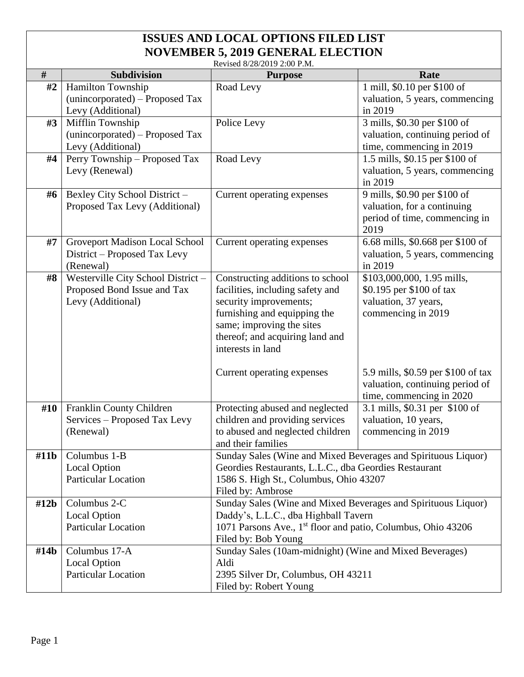| Revised 8/28/2019 2:00 P.M. |                                   |                                                                          |                                             |  |
|-----------------------------|-----------------------------------|--------------------------------------------------------------------------|---------------------------------------------|--|
| $\#$                        | <b>Subdivision</b>                | <b>Purpose</b>                                                           | Rate                                        |  |
| #2                          | Hamilton Township                 | Road Levy                                                                | 1 mill, \$0.10 per \$100 of                 |  |
|                             | (unincorporated) – Proposed Tax   |                                                                          | valuation, 5 years, commencing              |  |
|                             | Levy (Additional)                 |                                                                          | in 2019                                     |  |
| #3                          | Mifflin Township                  | Police Levy                                                              | 3 mills, \$0.30 per \$100 of                |  |
|                             | (unincorporated) – Proposed Tax   |                                                                          | valuation, continuing period of             |  |
|                             | Levy (Additional)                 |                                                                          | time, commencing in 2019                    |  |
| #4                          | Perry Township - Proposed Tax     | Road Levy                                                                | 1.5 mills, \$0.15 per \$100 of              |  |
|                             | Levy (Renewal)                    |                                                                          | valuation, 5 years, commencing              |  |
|                             |                                   |                                                                          | in 2019                                     |  |
| #6                          | Bexley City School District -     | Current operating expenses                                               | 9 mills, \$0.90 per \$100 of                |  |
|                             | Proposed Tax Levy (Additional)    |                                                                          | valuation, for a continuing                 |  |
|                             |                                   |                                                                          | period of time, commencing in               |  |
|                             |                                   |                                                                          | 2019                                        |  |
| #7                          | Groveport Madison Local School    | Current operating expenses                                               | 6.68 mills, \$0.668 per \$100 of            |  |
|                             | District – Proposed Tax Levy      |                                                                          | valuation, 5 years, commencing              |  |
|                             | (Renewal)                         |                                                                          | in 2019                                     |  |
| #8                          | Westerville City School District- | Constructing additions to school                                         | \$103,000,000, 1.95 mills,                  |  |
|                             | Proposed Bond Issue and Tax       | facilities, including safety and                                         | \$0.195 per \$100 of tax                    |  |
|                             | Levy (Additional)                 | security improvements;                                                   | valuation, 37 years,                        |  |
|                             |                                   | furnishing and equipping the                                             | commencing in 2019                          |  |
|                             |                                   | same; improving the sites                                                |                                             |  |
|                             |                                   | thereof; and acquiring land and                                          |                                             |  |
|                             |                                   | interests in land                                                        |                                             |  |
|                             |                                   |                                                                          |                                             |  |
|                             |                                   | Current operating expenses                                               | 5.9 mills, \$0.59 per \$100 of tax          |  |
|                             |                                   |                                                                          | valuation, continuing period of             |  |
|                             |                                   |                                                                          | time, commencing in 2020                    |  |
| #10                         | Franklin County Children          | Protecting abused and neglected                                          | $\overline{3.1}$ mills, \$0.31 per \$100 of |  |
|                             | Services – Proposed Tax Levy      | children and providing services                                          | valuation, 10 years,                        |  |
|                             | (Renewal)                         | to abused and neglected children                                         | commencing in 2019                          |  |
|                             |                                   | and their families                                                       |                                             |  |
| #11b                        | Columbus 1-B                      | Sunday Sales (Wine and Mixed Beverages and Spirituous Liquor)            |                                             |  |
|                             | <b>Local Option</b>               | Geordies Restaurants, L.L.C., dba Geordies Restaurant                    |                                             |  |
|                             | Particular Location               | 1586 S. High St., Columbus, Ohio 43207                                   |                                             |  |
|                             |                                   | Filed by: Ambrose                                                        |                                             |  |
| #12b                        | Columbus 2-C                      | Sunday Sales (Wine and Mixed Beverages and Spirituous Liquor)            |                                             |  |
|                             | <b>Local Option</b>               | Daddy's, L.L.C., dba Highball Tavern                                     |                                             |  |
|                             | <b>Particular Location</b>        | 1071 Parsons Ave., 1 <sup>st</sup> floor and patio, Columbus, Ohio 43206 |                                             |  |
|                             |                                   | Filed by: Bob Young                                                      |                                             |  |
| #14 <sub>b</sub>            | Columbus 17-A                     | Sunday Sales (10am-midnight) (Wine and Mixed Beverages)                  |                                             |  |
|                             | <b>Local Option</b>               | Aldi                                                                     |                                             |  |
|                             | <b>Particular Location</b>        | 2395 Silver Dr, Columbus, OH 43211                                       |                                             |  |
|                             |                                   | Filed by: Robert Young                                                   |                                             |  |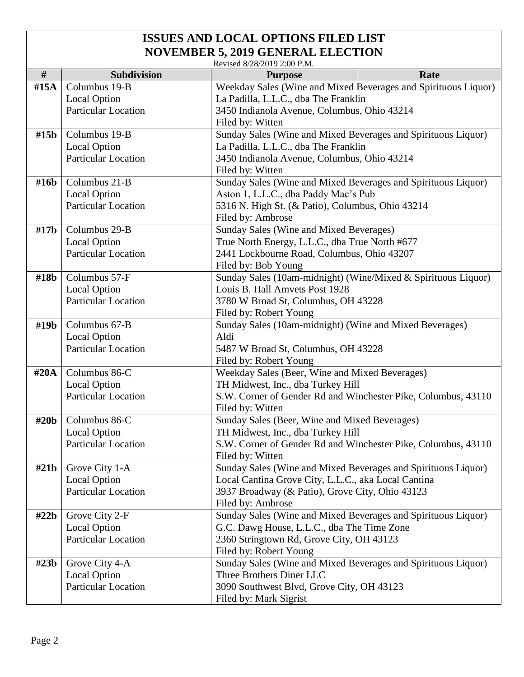| Revised 8/28/2019 2:00 P.M. |  |
|-----------------------------|--|

| $\#$             | <b>Subdivision</b>         | INCVISCU 0/20/2019 2.00 1 .IVI.<br><b>Purpose</b>                                                      | Rate |  |
|------------------|----------------------------|--------------------------------------------------------------------------------------------------------|------|--|
| #15A             | Columbus 19-B              |                                                                                                        |      |  |
|                  | <b>Local Option</b>        | Weekday Sales (Wine and Mixed Beverages and Spirituous Liquor)<br>La Padilla, L.L.C., dba The Franklin |      |  |
|                  | <b>Particular Location</b> | 3450 Indianola Avenue, Columbus, Ohio 43214                                                            |      |  |
|                  |                            | Filed by: Witten                                                                                       |      |  |
| #15 <sub>b</sub> | Columbus 19-B              | Sunday Sales (Wine and Mixed Beverages and Spirituous Liquor)                                          |      |  |
|                  | <b>Local Option</b>        | La Padilla, L.L.C., dba The Franklin                                                                   |      |  |
|                  | <b>Particular Location</b> | 3450 Indianola Avenue, Columbus, Ohio 43214                                                            |      |  |
|                  |                            | Filed by: Witten                                                                                       |      |  |
| #16b             | Columbus 21-B              | Sunday Sales (Wine and Mixed Beverages and Spirituous Liquor)                                          |      |  |
|                  | <b>Local Option</b>        | Aston 1, L.L.C., dba Paddy Mac's Pub                                                                   |      |  |
|                  | <b>Particular Location</b> | 5316 N. High St. (& Patio), Columbus, Ohio 43214                                                       |      |  |
|                  |                            | Filed by: Ambrose                                                                                      |      |  |
| #17 <sub>b</sub> | Columbus 29-B              | Sunday Sales (Wine and Mixed Beverages)                                                                |      |  |
|                  | <b>Local Option</b>        | True North Energy, L.L.C., dba True North #677                                                         |      |  |
|                  | <b>Particular Location</b> | 2441 Lockbourne Road, Columbus, Ohio 43207                                                             |      |  |
|                  |                            | Filed by: Bob Young                                                                                    |      |  |
| #18b             | Columbus 57-F              | Sunday Sales (10am-midnight) (Wine/Mixed & Spirituous Liquor)                                          |      |  |
|                  | <b>Local Option</b>        | Louis B. Hall Amvets Post 1928                                                                         |      |  |
|                  | <b>Particular Location</b> | 3780 W Broad St, Columbus, OH 43228                                                                    |      |  |
|                  |                            | Filed by: Robert Young                                                                                 |      |  |
| #19b             | Columbus 67-B              | Sunday Sales (10am-midnight) (Wine and Mixed Beverages)                                                |      |  |
|                  | <b>Local Option</b>        | Aldi                                                                                                   |      |  |
|                  | <b>Particular Location</b> | 5487 W Broad St, Columbus, OH 43228                                                                    |      |  |
|                  |                            | Filed by: Robert Young                                                                                 |      |  |
| #20 $A$          | Columbus 86-C              | Weekday Sales (Beer, Wine and Mixed Beverages)                                                         |      |  |
|                  | <b>Local Option</b>        | TH Midwest, Inc., dba Turkey Hill                                                                      |      |  |
|                  | <b>Particular Location</b> | S.W. Corner of Gender Rd and Winchester Pike, Columbus, 43110                                          |      |  |
|                  |                            | Filed by: Witten                                                                                       |      |  |
| #20 <sub>b</sub> | Columbus 86-C              | Sunday Sales (Beer, Wine and Mixed Beverages)                                                          |      |  |
|                  | <b>Local Option</b>        | TH Midwest, Inc., dba Turkey Hill                                                                      |      |  |
|                  | <b>Particular Location</b> | S.W. Corner of Gender Rd and Winchester Pike, Columbus, 43110                                          |      |  |
|                  |                            | Filed by: Witten                                                                                       |      |  |
| #21b             | Grove City 1-A             | Sunday Sales (Wine and Mixed Beverages and Spirituous Liquor)                                          |      |  |
|                  | <b>Local Option</b>        | Local Cantina Grove City, L.L.C., aka Local Cantina                                                    |      |  |
|                  | <b>Particular Location</b> | 3937 Broadway (& Patio), Grove City, Ohio 43123                                                        |      |  |
|                  |                            | Filed by: Ambrose                                                                                      |      |  |
| #22b             | Grove City 2-F             | Sunday Sales (Wine and Mixed Beverages and Spirituous Liquor)                                          |      |  |
|                  | <b>Local Option</b>        | G.C. Dawg House, L.L.C., dba The Time Zone                                                             |      |  |
|                  | <b>Particular Location</b> | 2360 Stringtown Rd, Grove City, OH 43123                                                               |      |  |
|                  |                            | Filed by: Robert Young                                                                                 |      |  |
| #23b             | Grove City 4-A             | Sunday Sales (Wine and Mixed Beverages and Spirituous Liquor)                                          |      |  |
|                  | <b>Local Option</b>        | Three Brothers Diner LLC                                                                               |      |  |
|                  | Particular Location        | 3090 Southwest Blvd, Grove City, OH 43123                                                              |      |  |
|                  |                            | Filed by: Mark Sigrist                                                                                 |      |  |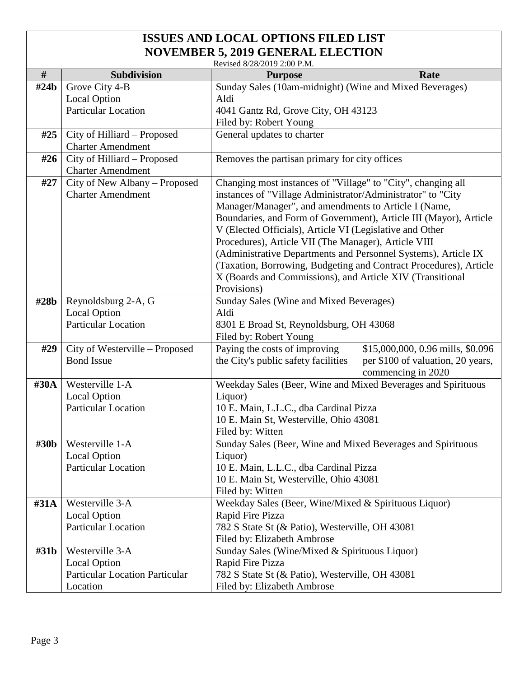|                  | Revised 8/28/2019 2:00 P.M.                               |                                                                                                                             |                                   |  |
|------------------|-----------------------------------------------------------|-----------------------------------------------------------------------------------------------------------------------------|-----------------------------------|--|
| #                | Subdivision                                               | <b>Purpose</b>                                                                                                              | Rate                              |  |
| #24 <sub>b</sub> | Grove City 4-B                                            | Sunday Sales (10am-midnight) (Wine and Mixed Beverages)                                                                     |                                   |  |
|                  | <b>Local Option</b>                                       | Aldi                                                                                                                        |                                   |  |
|                  | <b>Particular Location</b>                                | 4041 Gantz Rd, Grove City, OH 43123                                                                                         |                                   |  |
|                  |                                                           | Filed by: Robert Young                                                                                                      |                                   |  |
| #25              | City of Hilliard – Proposed                               | General updates to charter                                                                                                  |                                   |  |
|                  | <b>Charter Amendment</b>                                  |                                                                                                                             |                                   |  |
| #26              | City of Hilliard - Proposed                               | Removes the partisan primary for city offices                                                                               |                                   |  |
|                  | <b>Charter Amendment</b>                                  |                                                                                                                             |                                   |  |
| #27              | City of New Albany - Proposed<br><b>Charter Amendment</b> | Changing most instances of "Village" to "City", changing all<br>instances of "Village Administrator/Administrator" to "City |                                   |  |
|                  |                                                           | Manager/Manager", and amendments to Article I (Name,                                                                        |                                   |  |
|                  |                                                           |                                                                                                                             |                                   |  |
|                  |                                                           | Boundaries, and Form of Government), Article III (Mayor), Article                                                           |                                   |  |
|                  |                                                           | V (Elected Officials), Article VI (Legislative and Other                                                                    |                                   |  |
|                  |                                                           | Procedures), Article VII (The Manager), Article VIII<br>(Administrative Departments and Personnel Systems), Article IX      |                                   |  |
|                  |                                                           | (Taxation, Borrowing, Budgeting and Contract Procedures), Article                                                           |                                   |  |
|                  |                                                           | X (Boards and Commissions), and Article XIV (Transitional                                                                   |                                   |  |
|                  |                                                           | Provisions)                                                                                                                 |                                   |  |
| #28b             | Reynoldsburg 2-A, G                                       | Sunday Sales (Wine and Mixed Beverages)                                                                                     |                                   |  |
|                  | <b>Local Option</b>                                       | Aldi                                                                                                                        |                                   |  |
|                  | <b>Particular Location</b>                                | 8301 E Broad St, Reynoldsburg, OH 43068                                                                                     |                                   |  |
|                  |                                                           | Filed by: Robert Young                                                                                                      |                                   |  |
| #29              | City of Westerville - Proposed                            | Paying the costs of improving<br>\$15,000,000, 0.96 mills, \$0.096                                                          |                                   |  |
|                  | <b>Bond Issue</b>                                         | the City's public safety facilities                                                                                         | per \$100 of valuation, 20 years, |  |
|                  |                                                           |                                                                                                                             | commencing in 2020                |  |
| #30A             | Westerville 1-A                                           | Weekday Sales (Beer, Wine and Mixed Beverages and Spirituous                                                                |                                   |  |
|                  | <b>Local Option</b>                                       | Liquor)                                                                                                                     |                                   |  |
|                  | <b>Particular Location</b>                                | 10 E. Main, L.L.C., dba Cardinal Pizza                                                                                      |                                   |  |
|                  |                                                           | 10 E. Main St, Westerville, Ohio 43081                                                                                      |                                   |  |
|                  |                                                           | Filed by: Witten                                                                                                            |                                   |  |
| #30b             | Westerville 1-A                                           | Sunday Sales (Beer, Wine and Mixed Beverages and Spirituous                                                                 |                                   |  |
|                  | <b>Local Option</b>                                       | Liquor)                                                                                                                     |                                   |  |
|                  | <b>Particular Location</b>                                | 10 E. Main, L.L.C., dba Cardinal Pizza                                                                                      |                                   |  |
|                  |                                                           | 10 E. Main St, Westerville, Ohio 43081                                                                                      |                                   |  |
|                  |                                                           | Filed by: Witten                                                                                                            |                                   |  |
| #31A             | Westerville 3-A                                           | Weekday Sales (Beer, Wine/Mixed & Spirituous Liquor)                                                                        |                                   |  |
|                  | <b>Local Option</b>                                       | Rapid Fire Pizza                                                                                                            |                                   |  |
|                  | Particular Location                                       | 782 S State St (& Patio), Westerville, OH 43081                                                                             |                                   |  |
|                  |                                                           | Filed by: Elizabeth Ambrose                                                                                                 |                                   |  |
| #31b             | Westerville 3-A                                           | Sunday Sales (Wine/Mixed & Spirituous Liquor)                                                                               |                                   |  |
|                  | <b>Local Option</b>                                       | Rapid Fire Pizza                                                                                                            |                                   |  |
|                  | <b>Particular Location Particular</b>                     | 782 S State St (& Patio), Westerville, OH 43081                                                                             |                                   |  |
|                  | Location                                                  | Filed by: Elizabeth Ambrose                                                                                                 |                                   |  |